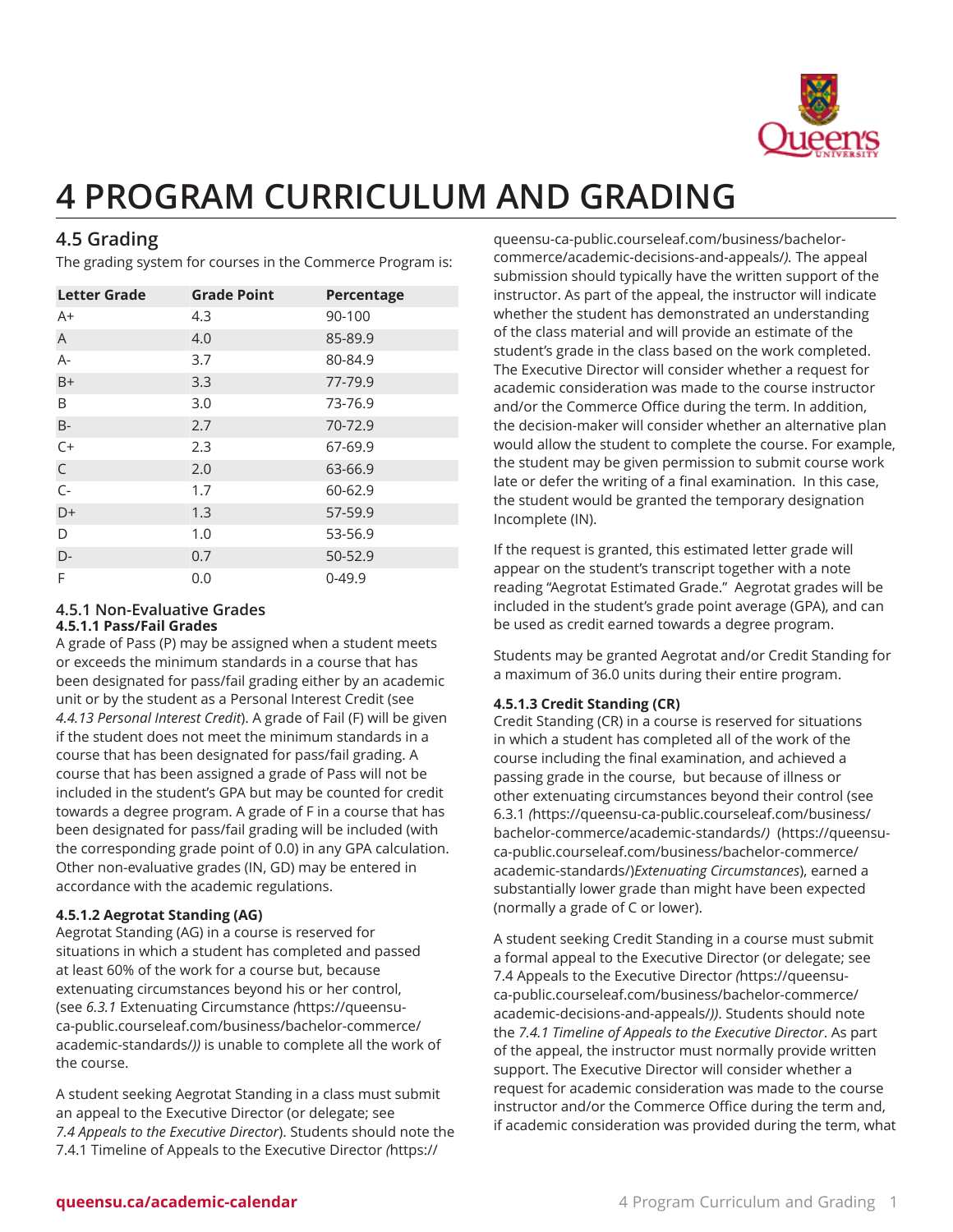

# **4 PROGRAM CURRICULUM AND GRADING**

## **4.5 Grading**

The grading system for courses in the Commerce Program is:

| <b>Letter Grade</b> | <b>Grade Point</b> | Percentage |
|---------------------|--------------------|------------|
| $A+$                | 4.3                | 90-100     |
| $\overline{A}$      | 4.0                | 85-89.9    |
| $A -$               | 3.7                | 80-84.9    |
| $B+$                | 3.3                | 77-79.9    |
| B                   | 3.0                | 73-76.9    |
| <b>B-</b>           | 2.7                | 70-72.9    |
| $C+$                | 2.3                | 67-69.9    |
| $\mathsf{C}$        | 2.0                | 63-66.9    |
| $C -$               | 1.7                | 60-62.9    |
| D+                  | 1.3                | 57-59.9    |
| D                   | 1.0                | 53-56.9    |
| D-                  | 0.7                | 50-52.9    |
| F                   | 0.0                | $0-49.9$   |

#### **4.5.1 Non-Evaluative Grades 4.5.1.1 Pass/Fail Grades**

A grade of Pass (P) may be assigned when a student meets or exceeds the minimum standards in a course that has been designated for pass/fail grading either by an academic unit or by the student as a Personal Interest Credit (see *4.4.13 Personal Interest Credit*). A grade of Fail (F) will be given if the student does not meet the minimum standards in a course that has been designated for pass/fail grading. A course that has been assigned a grade of Pass will not be included in the student's GPA but may be counted for credit towards a degree program. A grade of F in a course that has been designated for pass/fail grading will be included (with the corresponding grade point of 0.0) in any GPA calculation. Other non-evaluative grades (IN, GD) may be entered in accordance with the academic regulations.

#### **4.5.1.2 Aegrotat Standing (AG)**

Aegrotat Standing (AG) in a course is reserved for situations in which a student has completed and passed at least 60% of the work for a course but, because extenuating circumstances beyond his or her control, (see *6.3.1* Extenuating [Circumstance](https://queensu-ca-public.courseleaf.com/business/bachelor-commerce/academic-standards/) *(*[https://queensu](https://queensu-ca-public.courseleaf.com/business/bachelor-commerce/academic-standards/)[ca-public.courseleaf.com/business/bachelor-commerce/](https://queensu-ca-public.courseleaf.com/business/bachelor-commerce/academic-standards/) [academic-standards/](https://queensu-ca-public.courseleaf.com/business/bachelor-commerce/academic-standards/)*))* is unable to complete all the work of the course.

A student seeking Aegrotat Standing in a class must submit an appeal to the Executive Director (or delegate; see *7.4 Appeals to the Executive Director*). Students should note the 7.4.1 Timeline of Appeals to the [Executive](https://queensu-ca-public.courseleaf.com/business/bachelor-commerce/academic-decisions-and-appeals/) Director *(*[https://](https://queensu-ca-public.courseleaf.com/business/bachelor-commerce/academic-decisions-and-appeals/)

[queensu-ca-public.courseleaf.com/business/bachelor](https://queensu-ca-public.courseleaf.com/business/bachelor-commerce/academic-decisions-and-appeals/)[commerce/academic-decisions-and-appeals/](https://queensu-ca-public.courseleaf.com/business/bachelor-commerce/academic-decisions-and-appeals/)*).* The appeal submission should typically have the written support of the instructor. As part of the appeal, the instructor will indicate whether the student has demonstrated an understanding of the class material and will provide an estimate of the student's grade in the class based on the work completed. The Executive Director will consider whether a request for academic consideration was made to the course instructor and/or the Commerce Office during the term. In addition, the decision-maker will consider whether an alternative plan would allow the student to complete the course. For example, the student may be given permission to submit course work late or defer the writing of a final examination. In this case, the student would be granted the temporary designation Incomplete (IN).

If the request is granted, this estimated letter grade will appear on the student's transcript together with a note reading "Aegrotat Estimated Grade." Aegrotat grades will be included in the student's grade point average (GPA), and can be used as credit earned towards a degree program.

Students may be granted Aegrotat and/or Credit Standing for a maximum of 36.0 units during their entire program.

#### **4.5.1.3 Credit Standing (CR)**

Credit Standing (CR) in a course is reserved for situations in which a student has completed all of the work of the course including the final examination, and achieved a passing grade in the course, but because of illness or other extenuating circumstances beyond their control (see [6.3.1](https://queensu-ca-public.courseleaf.com/business/bachelor-commerce/academic-standards/) *(*[https://queensu-ca-public.courseleaf.com/business/](https://queensu-ca-public.courseleaf.com/business/bachelor-commerce/academic-standards/) [bachelor-commerce/academic-standards/](https://queensu-ca-public.courseleaf.com/business/bachelor-commerce/academic-standards/)*)* [\(https://queensu](https://queensu-ca-public.courseleaf.com/business/bachelor-commerce/academic-standards/)[ca-public.courseleaf.com/business/bachelor-commerce/](https://queensu-ca-public.courseleaf.com/business/bachelor-commerce/academic-standards/) [academic-standards/](https://queensu-ca-public.courseleaf.com/business/bachelor-commerce/academic-standards/))*Extenuating Circumstances*), earned a substantially lower grade than might have been expected (normally a grade of C or lower).

A student seeking Credit Standing in a course must submit a formal appeal to the Executive Director (or delegate; see 7.4 Appeals to the [Executive](https://queensu-ca-public.courseleaf.com/business/bachelor-commerce/academic-decisions-and-appeals/) Director *(*[https://queensu](https://queensu-ca-public.courseleaf.com/business/bachelor-commerce/academic-decisions-and-appeals/)[ca-public.courseleaf.com/business/bachelor-commerce/](https://queensu-ca-public.courseleaf.com/business/bachelor-commerce/academic-decisions-and-appeals/) [academic-decisions-and-appeals/](https://queensu-ca-public.courseleaf.com/business/bachelor-commerce/academic-decisions-and-appeals/)*))*. Students should note the *7.4.1 Timeline of Appeals to the Executive Director*. As part of the appeal, the instructor must normally provide written support. The Executive Director will consider whether a request for academic consideration was made to the course instructor and/or the Commerce Office during the term and, if academic consideration was provided during the term, what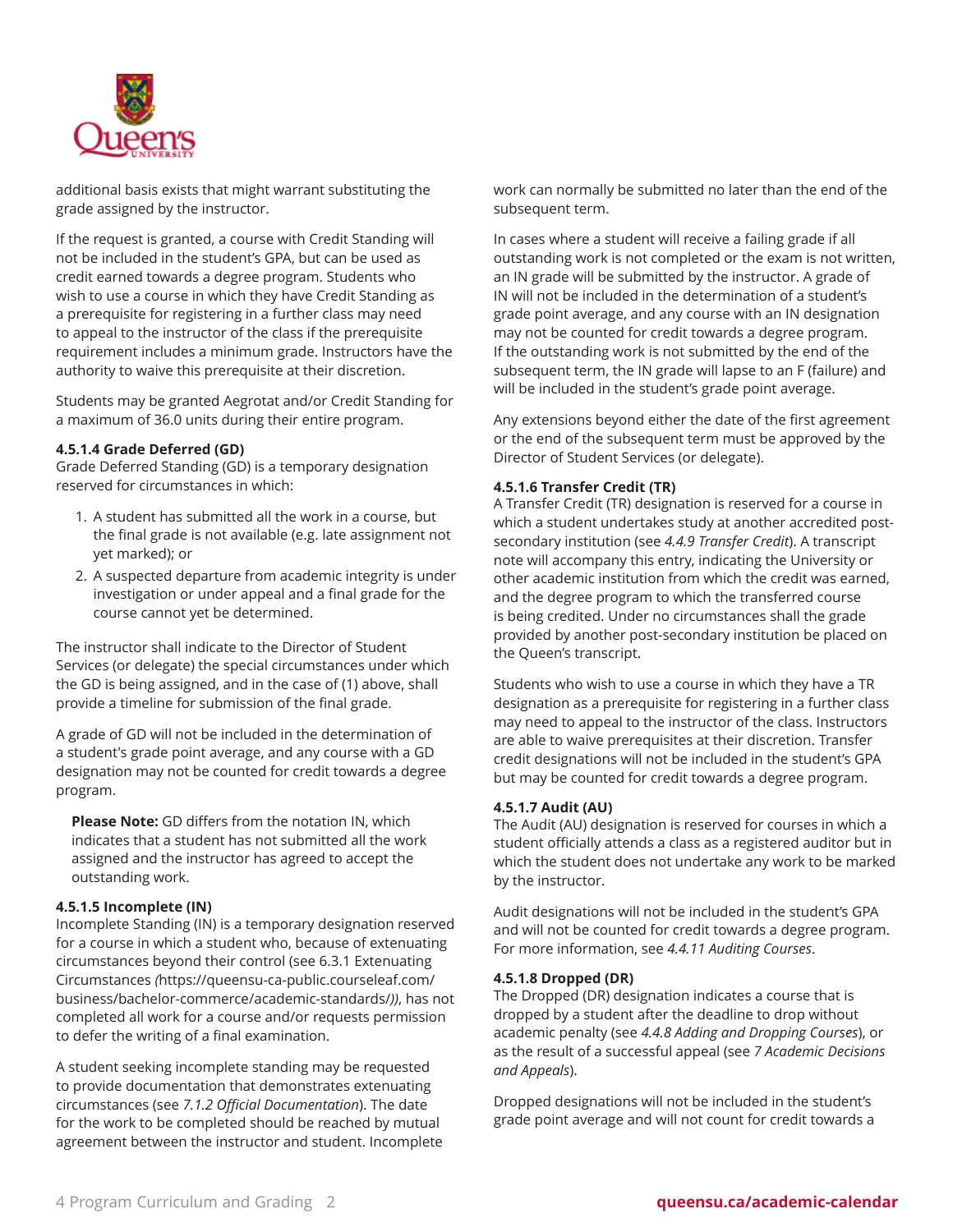

additional basis exists that might warrant substituting the grade assigned by the instructor.

If the request is granted, a course with Credit Standing will not be included in the student's GPA, but can be used as credit earned towards a degree program. Students who wish to use a course in which they have Credit Standing as a prerequisite for registering in a further class may need to appeal to the instructor of the class if the prerequisite requirement includes a minimum grade. Instructors have the authority to waive this prerequisite at their discretion.

Students may be granted Aegrotat and/or Credit Standing for a maximum of 36.0 units during their entire program.

#### **4.5.1.4 Grade Deferred (GD)**

Grade Deferred Standing (GD) is a temporary designation reserved for circumstances in which:

- 1. A student has submitted all the work in a course, but the final grade is not available (e.g. late assignment not yet marked); or
- 2. A suspected departure from academic integrity is under investigation or under appeal and a final grade for the course cannot yet be determined.

The instructor shall indicate to the Director of Student Services (or delegate) the special circumstances under which the GD is being assigned, and in the case of (1) above, shall provide a timeline for submission of the final grade.

A grade of GD will not be included in the determination of a student's grade point average, and any course with a GD designation may not be counted for credit towards a degree program.

**Please Note:** GD differs from the notation IN, which indicates that a student has not submitted all the work assigned and the instructor has agreed to accept the outstanding work.

#### **4.5.1.5 Incomplete (IN)**

Incomplete Standing (IN) is a temporary designation reserved for a course in which a student who, because of extenuating circumstances beyond their control (see [6.3.1 Extenuating](https://queensu-ca-public.courseleaf.com/business/bachelor-commerce/academic-standards/) [Circumstances](https://queensu-ca-public.courseleaf.com/business/bachelor-commerce/academic-standards/) *(*[https://queensu-ca-public.courseleaf.com/](https://queensu-ca-public.courseleaf.com/business/bachelor-commerce/academic-standards/) [business/bachelor-commerce/academic-standards/](https://queensu-ca-public.courseleaf.com/business/bachelor-commerce/academic-standards/)*))*, has not completed all work for a course and/or requests permission to defer the writing of a final examination.

A student seeking incomplete standing may be requested to provide documentation that demonstrates extenuating circumstances (see *7.1.2 Official Documentation*). The date for the work to be completed should be reached by mutual agreement between the instructor and student. Incomplete work can normally be submitted no later than the end of the subsequent term.

In cases where a student will receive a failing grade if all outstanding work is not completed or the exam is not written, an IN grade will be submitted by the instructor. A grade of IN will not be included in the determination of a student's grade point average, and any course with an IN designation may not be counted for credit towards a degree program. If the outstanding work is not submitted by the end of the subsequent term, the IN grade will lapse to an F (failure) and will be included in the student's grade point average.

Any extensions beyond either the date of the first agreement or the end of the subsequent term must be approved by the Director of Student Services (or delegate).

#### **4.5.1.6 Transfer Credit (TR)**

A Transfer Credit (TR) designation is reserved for a course in which a student undertakes study at another accredited postsecondary institution (see *4.4.9 Transfer Credit*). A transcript note will accompany this entry, indicating the University or other academic institution from which the credit was earned, and the degree program to which the transferred course is being credited. Under no circumstances shall the grade provided by another post-secondary institution be placed on the Queen's transcript.

Students who wish to use a course in which they have a TR designation as a prerequisite for registering in a further class may need to appeal to the instructor of the class. Instructors are able to waive prerequisites at their discretion. Transfer credit designations will not be included in the student's GPA but may be counted for credit towards a degree program.

#### **4.5.1.7 Audit (AU)**

The Audit (AU) designation is reserved for courses in which a student officially attends a class as a registered auditor but in which the student does not undertake any work to be marked by the instructor.

Audit designations will not be included in the student's GPA and will not be counted for credit towards a degree program. For more information, see *4.4.11 Auditing Courses*.

#### **4.5.1.8 Dropped (DR)**

The Dropped (DR) designation indicates a course that is dropped by a student after the deadline to drop without academic penalty (see *4.4.8 Adding and Dropping Courses*), or as the result of a successful appeal (see *7 Academic Decisions and Appeals*).

Dropped designations will not be included in the student's grade point average and will not count for credit towards a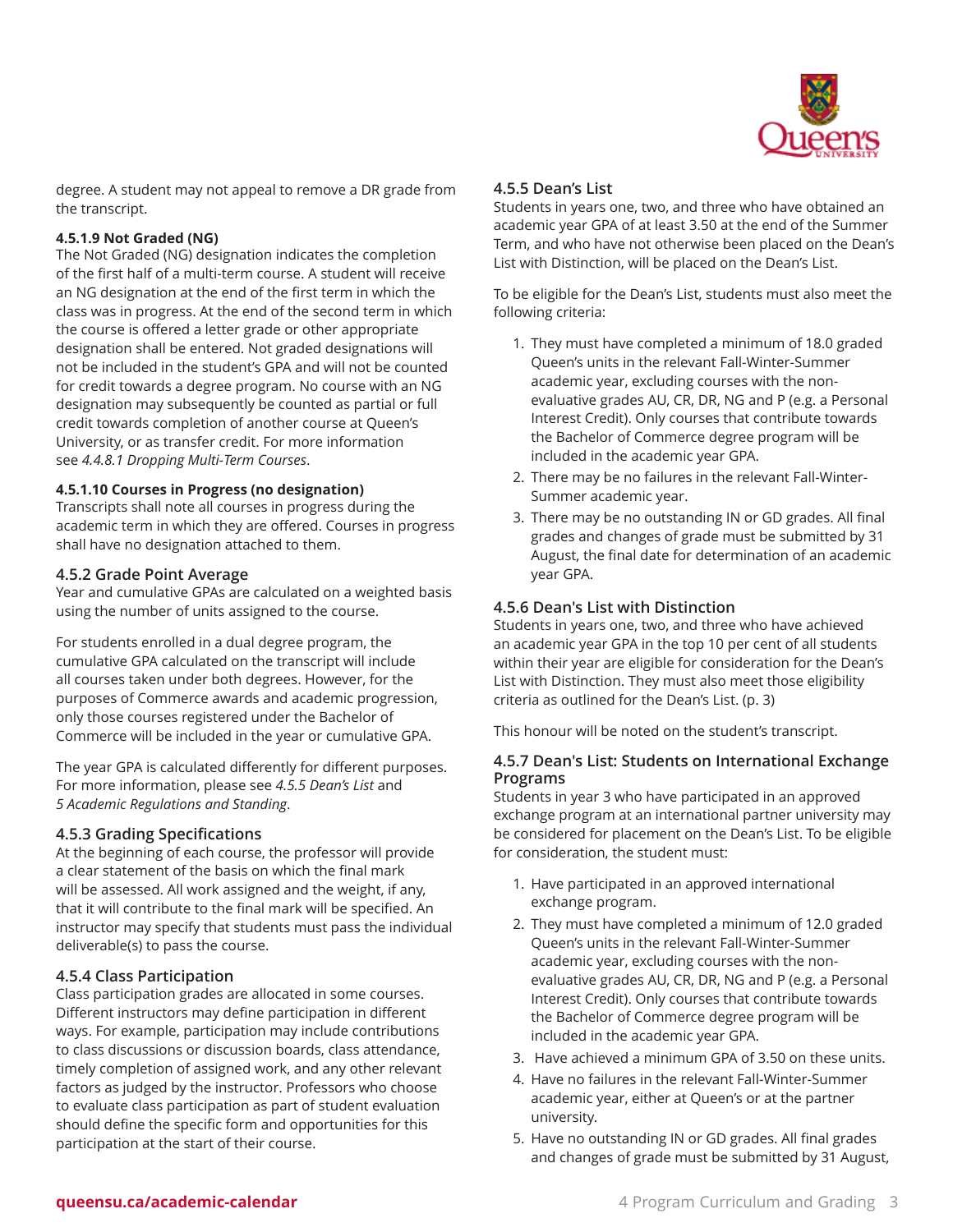

degree. A student may not appeal to remove a DR grade from the transcript.

#### **4.5.1.9 Not Graded (NG)**

The Not Graded (NG) designation indicates the completion of the first half of a multi-term course. A student will receive an NG designation at the end of the first term in which the class was in progress. At the end of the second term in which the course is offered a letter grade or other appropriate designation shall be entered. Not graded designations will not be included in the student's GPA and will not be counted for credit towards a degree program. No course with an NG designation may subsequently be counted as partial or full credit towards completion of another course at Queen's University, or as transfer credit. For more information see *4.4.8.1 Dropping Multi-Term Courses*.

#### **4.5.1.10 Courses in Progress (no designation)**

Transcripts shall note all courses in progress during the academic term in which they are offered. Courses in progress shall have no designation attached to them.

#### **4.5.2 Grade Point Average**

Year and cumulative GPAs are calculated on a weighted basis using the number of units assigned to the course.

For students enrolled in a dual degree program, the cumulative GPA calculated on the transcript will include all courses taken under both degrees. However, for the purposes of Commerce awards and academic progression, only those courses registered under the Bachelor of Commerce will be included in the year or cumulative GPA.

The year GPA is calculated differently for different purposes. For more information, please see *4.5.5 Dean's List* and *5 Academic Regulations and Standing*.

#### **4.5.3 Grading Specifications**

At the beginning of each course, the professor will provide a clear statement of the basis on which the final mark will be assessed. All work assigned and the weight, if any, that it will contribute to the final mark will be specified. An instructor may specify that students must pass the individual deliverable(s) to pass the course.

#### **4.5.4 Class Participation**

Class participation grades are allocated in some courses. Different instructors may define participation in different ways. For example, participation may include contributions to class discussions or discussion boards, class attendance, timely completion of assigned work, and any other relevant factors as judged by the instructor. Professors who choose to evaluate class participation as part of student evaluation should define the specific form and opportunities for this participation at the start of their course.

#### <span id="page-2-0"></span>**4.5.5 Dean's List**

Students in years one, two, and three who have obtained an academic year GPA of at least 3.50 at the end of the Summer Term, and who have not otherwise been placed on the Dean's List with Distinction, will be placed on the Dean's List.

To be eligible for the Dean's List, students must also meet the following criteria:

- 1. They must have completed a minimum of 18.0 graded Queen's units in the relevant Fall-Winter-Summer academic year, excluding courses with the nonevaluative grades AU, CR, DR, NG and P (e.g. a Personal Interest Credit). Only courses that contribute towards the Bachelor of Commerce degree program will be included in the academic year GPA.
- 2. There may be no failures in the relevant Fall-Winter-Summer academic year.
- 3. There may be no outstanding IN or GD grades. All final grades and changes of grade must be submitted by 31 August, the final date for determination of an academic year GPA.

#### **4.5.6 Dean's List with Distinction**

Students in years one, two, and three who have achieved an academic year GPA in the top 10 per cent of all students within their year are eligible for consideration for the Dean's List with Distinction. They must also meet those eligibility criteria as outlined for the [Dean's](#page-2-0) List. ([p. 3](#page-2-0))

This honour will be noted on the student's transcript.

#### **4.5.7 Dean's List: Students on International Exchange Programs**

Students in year 3 who have participated in an approved exchange program at an international partner university may be considered for placement on the Dean's List. To be eligible for consideration, the student must:

- 1. Have participated in an approved international exchange program.
- 2. They must have completed a minimum of 12.0 graded Queen's units in the relevant Fall-Winter-Summer academic year, excluding courses with the nonevaluative grades AU, CR, DR, NG and P (e.g. a Personal Interest Credit). Only courses that contribute towards the Bachelor of Commerce degree program will be included in the academic year GPA.
- 3. Have achieved a minimum GPA of 3.50 on these units.
- 4. Have no failures in the relevant Fall-Winter-Summer academic year, either at Queen's or at the partner university.
- 5. Have no outstanding IN or GD grades. All final grades and changes of grade must be submitted by 31 August,